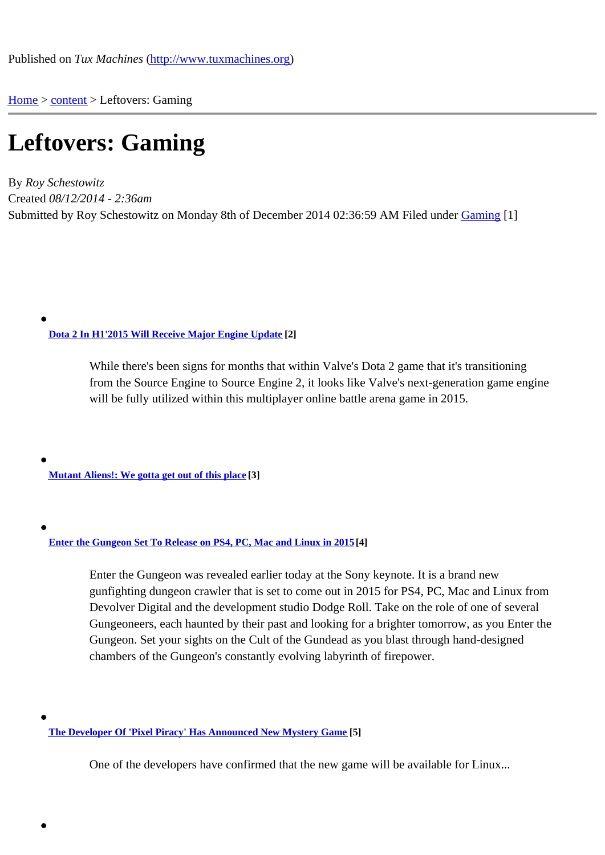Home > content > Leftover[s: Gaming](http://www.tuxmachines.org)

## [Lef](http://www.tuxmachines.org/)t[ove](http://www.tuxmachines.org/node)rs: Gaming

By Roy Schestowitz Created 08/12/2014 - 2:36am Submitted by Roy Schestowitz on Monday 8th of December 2014 02:36:59 AM under Gaming[1]

Dota 2 In H1'2015 Will Receive Major Engine Update<sup>[2]</sup>

While there's been signs for months that within Valve's Dota 2 game that it's transitioning [from the Source Engine to Source E](http://www.phoronix.com/scan.php?page=news_item&px=MTg1NTQ)ngine 2, it looks like Valve's next-generation game engine will be fully utilized within this multiplayer online battle arena game in 2015.

Mutant Aliens!: We gotta get out of this place[3]

Enter the Gungeon Set To Release on PS4, PC, Mac and Linux in 2045

Enter the Gungeon was revealed earlier today at the Sony keynote. It is a brand new [gunfighting dungeon crawler that is set to come o](http://www.gamingtarget.com/article.php?artid=14859)ut in 2015 for PS4, PC, Mac and Linux from Devolver Digital and the development studio Dodge Roll. Take on the role of one of several Gungeoneers, each haunted by their past and looking for a brighter tomorrow, as you Enter the Gungeon. Set your sights on the Cult of the Gundead as you blast through hand-designed chambers of the Gungeon's constantly evolving labyrinth of firepower.

The Developer Of 'Pixel Piracy' Has Announced New Mystery Gam<sup>[5]</sup>

One of the developers have confirmed that the new game will be available for Linux...